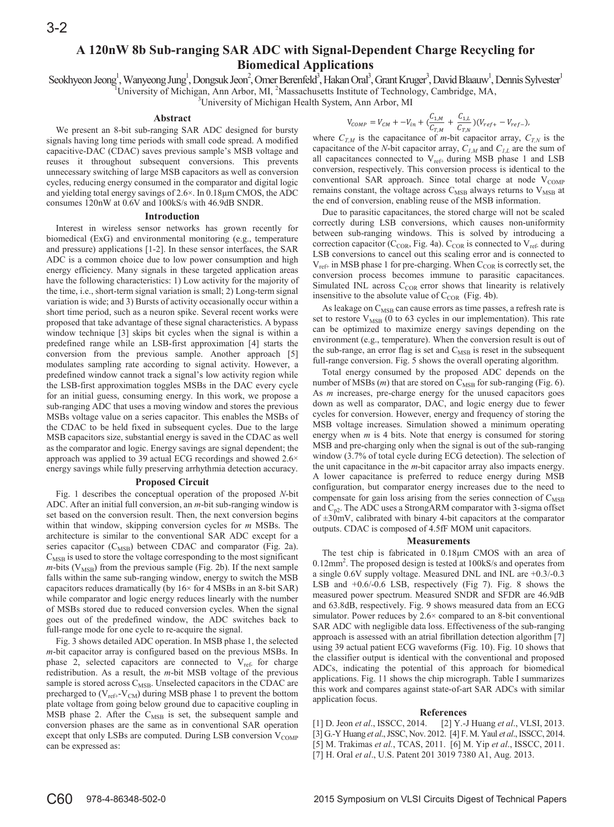# **A 120nW 8b Sub-ranging SAR ADC with Signal-Dependent Charge Recycling for Biomedical Applications**

Seokhyeon Jeong<sup>1</sup>, Wanyeong Jung<sup>1</sup>, Dongsuk Jeon<sup>2</sup>, Omer Berenfeld<sup>3</sup>, Hakan Oral<sup>3</sup>, Grant Kruger<sup>3</sup>, David Blaauw<sup>1</sup>, Dennis Sylvester<sup>1</sup>

<sup>1</sup>University of Michigan, Ann Arbor, MI, <sup>2</sup>Massachusetts Institute of Technology, Cambridge, MA, University of Michigan Health System, Ann Arbor, MI

### **Abstract**

We present an 8-bit sub-ranging SAR ADC designed for bursty signals having long time periods with small code spread. A modified capacitive-DAC (CDAC) saves previous sample's MSB voltage and reuses it throughout subsequent conversions. This prevents unnecessary switching of large MSB capacitors as well as conversion cycles, reducing energy consumed in the comparator and digital logic and yielding total energy savings of 2.6×. In 0.18μm CMOS, the ADC consumes 120nW at 0.6V and 100kS/s with 46.9dB SNDR.

## **Introduction**

Interest in wireless sensor networks has grown recently for biomedical (ExG) and environmental monitoring (e.g., temperature and pressure) applications [1-2]. In these sensor interfaces, the SAR ADC is a common choice due to low power consumption and high energy efficiency. Many signals in these targeted application areas have the following characteristics: 1) Low activity for the majority of the time, i.e., short-term signal variation is small; 2) Long-term signal variation is wide; and 3) Bursts of activity occasionally occur within a short time period, such as a neuron spike. Several recent works were proposed that take advantage of these signal characteristics. A bypass window technique [3] skips bit cycles when the signal is within a predefined range while an LSB-first approximation [4] starts the conversion from the previous sample. Another approach [5] modulates sampling rate according to signal activity. However, a predefined window cannot track a signal's low activity region while the LSB-first approximation toggles MSBs in the DAC every cycle for an initial guess, consuming energy. In this work, we propose a sub-ranging ADC that uses a moving window and stores the previous MSBs voltage value on a series capacitor. This enables the MSBs of the CDAC to be held fixed in subsequent cycles. Due to the large MSB capacitors size, substantial energy is saved in the CDAC as well as the comparator and logic. Energy savings are signal dependent; the approach was applied to 39 actual ECG recordings and showed 2.6× energy savings while fully preserving arrhythmia detection accuracy.

### **Proposed Circuit**

Fig. 1 describes the conceptual operation of the proposed *1*-bit ADC. After an initial full conversion, an *m*-bit sub-ranging window is set based on the conversion result. Then, the next conversion begins within that window, skipping conversion cycles for *m* MSBs. The architecture is similar to the conventional SAR ADC except for a series capacitor  $(C_{MSB})$  between CDAC and comparator (Fig. 2a).  $C_{\text{MSB}}$  is used to store the voltage corresponding to the most significant  *from the previous sample (Fig. 2b). If the next sample* falls within the same sub-ranging window, energy to switch the MSB capacitors reduces dramatically (by  $16 \times$  for 4 MSBs in an 8-bit SAR) while comparator and logic energy reduces linearly with the number of MSBs stored due to reduced conversion cycles. When the signal goes out of the predefined window, the ADC switches back to full-range mode for one cycle to re-acquire the signal.

Fig. 3 shows detailed ADC operation. In MSB phase 1, the selected *m*-bit capacitor array is configured based on the previous MSBs. In phase 2, selected capacitors are connected to V<sub>ref-</sub> for charge redistribution. As a result, the *m*-bit MSB voltage of the previous sample is stored across  $C_{MSB}$ . Unselected capacitors in the CDAC are precharged to  $(V_{ref+}-V_{CM})$  during MSB phase 1 to prevent the bottom plate voltage from going below ground due to capacitive coupling in MSB phase 2. After the  $C_{MSB}$  is set, the subsequent sample and conversion phases are the same as in conventional SAR operation except that only LSBs are computed. During LSB conversion  $V_{COMP}$ can be expressed as:

$$
V_{COMP}=V_{CM}+-V_{in}+(\frac{C_{1,M}}{C_{T,M}}+\frac{C_{1,L}}{C_{T,N}})(V_{ref+}-V_{ref-}),
$$

where  $C_{TM}$  is the capacitance of *m*-bit capacitor array,  $C_{TN}$  is the capacitance of the *N*-bit capacitor array,  $C_{I,M}$  and  $C_{I,L}$  are the sum of all capacitances connected to  $V_{ref+}$  during MSB phase 1 and LSB conversion, respectively. This conversion process is identical to the conventional SAR approach. Since total charge at node  $V_{COMP}$ remains constant, the voltage across  $C_{\text{MSB}}$  always returns to  $V_{\text{MSB}}$  at the end of conversion, enabling reuse of the MSB information.

Due to parasitic capacitances, the stored charge will not be scaled correctly during LSB conversions, which causes non-uniformity between sub-ranging windows. This is solved by introducing a correction capacitor ( $C_{COR}$ , Fig. 4a).  $C_{COR}$  is connected to  $V_{ref}$  during LSB conversions to cancel out this scaling error and is connected to  $V_{ref+}$  in MSB phase 1 for pre-charging. When  $C_{COR}$  is correctly set, the conversion process becomes immune to parasitic capacitances. Simulated INL across  $C_{COR}$  error shows that linearity is relatively insensitive to the absolute value of  $C_{COR}$  (Fig. 4b).

As leakage on C<sub>MSB</sub> can cause errors as time passes, a refresh rate is set to restore  $V_{\text{MSB}}$  (0 to 63 cycles in our implementation). This rate can be optimized to maximize energy savings depending on the environment (e.g., temperature). When the conversion result is out of the sub-range, an error flag is set and  $C_{MSB}$  is reset in the subsequent full-range conversion. Fig. 5 shows the overall operating algorithm.

Total energy consumed by the proposed ADC depends on the number of MSBs  $(m)$  that are stored on  $C_{\text{MSB}}$  for sub-ranging (Fig. 6). As *m* increases, pre-charge energy for the unused capacitors goes down as well as comparator, DAC, and logic energy due to fewer cycles for conversion. However, energy and frequency of storing the MSB voltage increases. Simulation showed a minimum operating energy when  $m$  is 4 bits. Note that energy is consumed for storing MSB and pre-charging only when the signal is out of the sub-ranging window (3.7% of total cycle during ECG detection). The selection of the unit capacitance in the *m*-bit capacitor array also impacts energy. A lower capacitance is preferred to reduce energy during MSB configuration, but comparator energy increases due to the need to compensate for gain loss arising from the series connection of  $C_{\text{MSB}}$ and  $C_{p2}$ . The ADC uses a StrongARM comparator with 3-sigma offset of ±30mV, calibrated with binary 4-bit capacitors at the comparator outputs. CDAC is composed of 4.5fF MOM unit capacitors.

### **Measurements**

The test chip is fabricated in 0.18μm CMOS with an area of 0.12mm<sup>2</sup>. The proposed design is tested at 100kS/s and operates from a single 0.6V supply voltage. Measured DNL and INL are +0.3/-0.3 LSB and  $+0.6$ /-0.6 LSB, respectively (Fig 7). Fig. 8 shows the measured power spectrum. Measured SNDR and SFDR are 46.9dB and 63.8dB, respectively. Fig. 9 shows measured data from an ECG simulator. Power reduces by  $2.6 \times$  compared to an 8-bit conventional SAR ADC with negligible data loss. Effectiveness of the sub-ranging approach is assessed with an atrial fibrillation detection algorithm [7] using 39 actual patient ECG waveforms (Fig. 10). Fig. 10 shows that the classifier output is identical with the conventional and proposed ADCs, indicating the potential of this approach for biomedical applications. Fig. 11 shows the chip micrograph. Table I summarizes this work and compares against state-of-art SAR ADCs with similar application focus.

#### **References**

[1] D. Jeon *et al.*, ISSCC, 2014. [2] Y.-J Huang *et al.*, VLSI, 2013. [3] G.-Y Huang et al., JSSC, Nov. 2012. [4] F. M. Yaul et al., ISSCC, 2014. [5] M. Trakimas et al., TCAS, 2011. [6] M. Yip et al., ISSCC, 2011.

[7] H. Oral et al., U.S. Patent 201 3019 7380 A1, Aug. 2013.